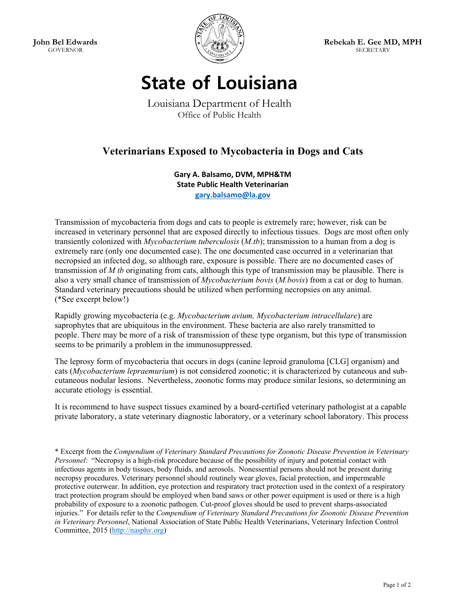**John Bel Edwards**  GOVERNOR



**Rebekah E. Gee MD, MPH SECRETARY** 

## **State of Louisiana**

Louisiana Department of Health Office of Public Health

## **Veterinarians Exposed to Mycobacteria in Dogs and Cats**

**Gary A. Balsamo, DVM, MPH&TM State Public Health Veterinarian gary.balsamo@la.gov** 

Transmission of mycobacteria from dogs and cats to people is extremely rare; however, risk can be increased in veterinary personnel that are exposed directly to infectious tissues. Dogs are most often only transiently colonized with *Mycobacterium tuberculosis* (*M.tb*); transmission to a human from a dog is extremely rare (only one documented case). The one documented case occurred in a veterinarian that necropsied an infected dog, so although rare, exposure is possible. There are no documented cases of transmission of *M tb* originating from cats, although this type of transmission may be plausible. There is also a very small chance of transmission of *Mycobacterium bovis* (*M.bovis*) from a cat or dog to human. Standard veterinary precautions should be utilized when performing necropsies on any animal. (\*See excerpt below!)

Rapidly growing mycobacteria (e.g. *Mycobacterium avium, Mycobacterium intracellulare*) are saprophytes that are ubiquitous in the environment. These bacteria are also rarely transmitted to people. There may be more of a risk of transmission of these type organism, but this type of transmission seems to be primarily a problem in the immunosuppressed.

The leprosy form of mycobacteria that occurs in dogs (canine leproid granuloma [CLG] organism) and cats (*Mycobacterium lepraemurium*) is not considered zoonotic; it is characterized by cutaneous and subcutaneous nodular lesions. Nevertheless, zoonotic forms may produce similar lesions, so determining an accurate etiology is essential.

It is recommend to have suspect tissues examined by a board-certified veterinary pathologist at a capable private laboratory, a state veterinary diagnostic laboratory, or a veterinary school laboratory. This process

\* Excerpt from the *Compendium of Veterinary Standard Precautions for Zoonotic Disease Prevention in Veterinary Personnel*: "Necropsy is a high-risk procedure because of the possibility of injury and potential contact with infectious agents in body tissues, body fluids, and aerosols. Nonessential persons should not be present during necropsy procedures. Veterinary personnel should routinely wear gloves, facial protection, and impermeable protective outerwear. In addition, eye protection and respiratory tract protection used in the context of a respiratory tract protection program should be employed when band saws or other power equipment is used or there is a high probability of exposure to a zoonotic pathogen. Cut-proof gloves should be used to prevent sharps-associated injuries." For details refer to the *Compendium of Veterinary Standard Precautions for Zoonotic Disease Prevention in Veterinary Personnel*, National Association of State Public Health Veterinarians, Veterinary Infection Control Committee, 2015 (http://nasphv.org)